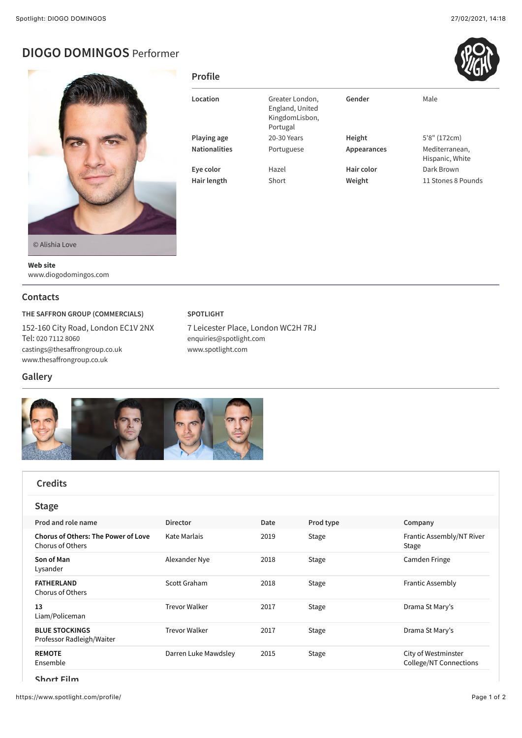# **DIOGO DOMINGOS** Performer



**Location** Greater London, England, United KingdomLisbon, Portugal Gender Male Playing age **20-30 Years Height** 5'8" (172cm) **Nationalities** Portuguese **Appearances** Mediterranean, Hispanic, White **Eye color** Hazel **Hair color** Dark Brown **Hair length** Short **Weight** 11 Stones 8 Pounds

© Alishia Love

**Web site** www.diogodomingos.com

#### **Contacts**

**Gallery**

**THE SAFFRON GROUP (COMMERCIALS)**

152-160 City Road, London EC1V 2NX Tel: [020 7112 8060](tel:020%207112%208060) [castings@thesa](mailto:castings@thesaffrongroup.co.uk)ffrongroup.co.uk www.thesaff[rongroup.co.uk](http://www.thesaffrongroup.co.uk/)

### **SPOTLIGHT**

**Profile**

7 Leicester Place, London WC2H 7RJ [enquiries@spotlight.com](mailto:enquiries@spotlight.com) [www.spotlight.com](http://www.spotlight.com/)



| <b>Credits</b>                                                 |                      |      |              |                                                      |
|----------------------------------------------------------------|----------------------|------|--------------|------------------------------------------------------|
| <b>Stage</b>                                                   |                      |      |              |                                                      |
| Prod and role name                                             | <b>Director</b>      | Date | Prod type    | Company                                              |
| <b>Chorus of Others: The Power of Love</b><br>Chorus of Others | Kate Marlais         | 2019 | <b>Stage</b> | Frantic Assembly/NT River<br>Stage                   |
| Son of Man<br>Lysander                                         | Alexander Nye        | 2018 | Stage        | Camden Fringe                                        |
| <b>FATHERLAND</b><br><b>Chorus of Others</b>                   | Scott Graham         | 2018 | Stage        | <b>Frantic Assembly</b>                              |
| 13<br>Liam/Policeman                                           | <b>Trevor Walker</b> | 2017 | Stage        | Drama St Mary's                                      |
| <b>BLUE STOCKINGS</b><br>Professor Radleigh/Waiter             | <b>Trevor Walker</b> | 2017 | Stage        | Drama St Mary's                                      |
| <b>REMOTE</b><br>Ensemble                                      | Darren Luke Mawdsley | 2015 | Stage        | City of Westminster<br><b>College/NT Connections</b> |

**Short Film**